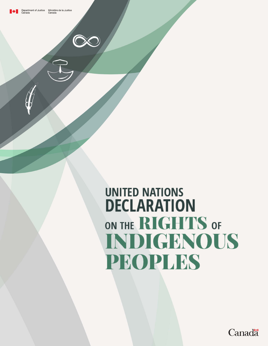X

# **UNITED NATIONS DECLARATION** ON THE RIGHTS OF INDIGENOUS PEOPLES

**Canadä**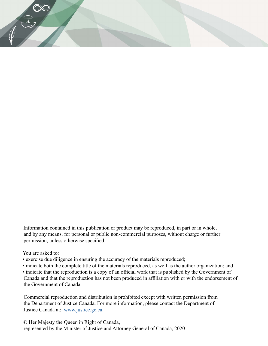

Information contained in this publication or product may be reproduced, in part or in whole, and by any means, for personal or public non-commercial purposes, without charge or further permission, unless otherwise specified.

You are asked to:

• exercise due diligence in ensuring the accuracy of the materials reproduced;

• indicate both the complete title of the materials reproduced, as well as the author organization; and

• indicate that the reproduction is a copy of an official work that is published by the Government of Canada and that the reproduction has not been produced in affiliation with or with the endorsement of the Government of Canada.

Commercial reproduction and distribution is prohibited except with written permission from the Department of Justice Canada. For more information, please contact the Department of Justice Canada at: [www.justice.gc.ca.](https://www.justice.gc.ca/eng/index.html)

© Her Majesty the Queen in Right of Canada, represented by the Minister of Justice and Attorney General of Canada, 2020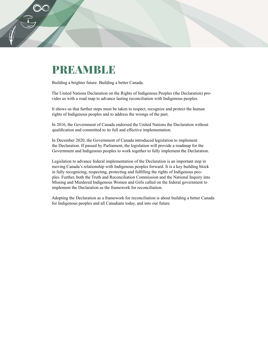### PREAMBLE

3

Building a brighter future. Building a better Canada.

The United Nations Declaration on the Rights of Indigenous Peoples (the Declaration) provides us with a road map to advance lasting reconciliation with Indigenous peoples.

It shows us that further steps must be taken to respect, recognize and protect the human rights of Indigenous peoples and to address the wrongs of the past.

In 2016, the Government of Canada endorsed the United Nations the Declaration without qualification and committed to its full and effective implementation.

In December 2020, the Government of Canada introduced legislation to implement the Declaration. If passed by Parliament, the legislation will provide a roadmap for the Government and Indigenous peoples to work together to fully implement the Declaration.

Legislation to advance federal implementation of the Declaration is an important step in moving Canada's relationship with Indigenous peoples forward. It is a key building block in fully recognizing, respecting, protecting and fulfilling the rights of Indigenous peoples. Further, both the Truth and Reconciliation Commission and the National Inquiry into Missing and Murdered Indigenous Women and Girls called on the federal government to implement the Declaration as the framework for reconciliation.

Adopting the Declaration as a framework for reconciliation is about building a better Canada for Indigenous peoples and all Canadians today, and into our future.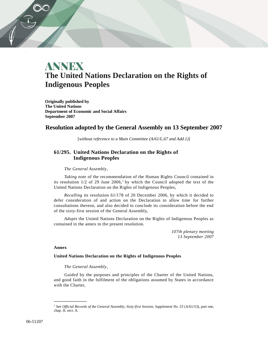### ANNEX **The United Nations Declaration on the Rights of Indigenous Peoples**

**Originally published by The United Nations Department of Economic and Social Affairs September 2007**

#### **Resolution adopted by the General Assembly on 13 September 2007**

[*without reference to a Main Committee (A/61/L.67 and Add.1)*]

#### **61/295. United Nations Declaration on the Rights of Indigenous Peoples**

#### *The General Assembly*,

*Taking note* of the recommendation of the Human Rights Council contained in its resolution  $1/2$  of 29 June  $2006$ ,<sup>1</sup> by which the Council adopted the text of the United Nations Declaration on the Rights of Indigenous Peoples,

*Recalling* its resolution 61/178 of 20 December 2006, by which it decided to defer consideration of and action on the Declaration to allow time for further consultations thereon, and also decided to conclude its consideration before the end of the sixty-first session of the General Assembly,

*Adopts* the United Nations Declaration on the Rights of Indigenous Peoples as contained in the annex to the present resolution.

> *107th plenary meeting 13 September 2007*

#### **Annex**

**\_\_\_\_\_\_\_\_\_\_\_\_\_\_\_**

#### **United Nations Declaration on the Rights of Indigenous Peoples**

#### *The General Assembly*,

*Guided* by the purposes and principles of the Charter of the United Nations, and good faith in the fulfilment of the obligations assumed by States in accordance with the Charter,

CE

<sup>&</sup>lt;sup>1</sup> See *Official Records of the General Assembly, Sixty-first Session, Supplement No. 53 (A/61/53), part one,* chap. II, sect. A.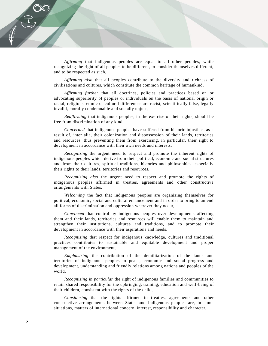*Affirming* that indigenous peoples are equal to all other peoples, while recognizing the right of all peoples to be different, to consider themselves different, and to be respected as such,

*Affirming also* that all peoples contribute to the diversity and richness of civilizations and cultures, which constitute the common heritage of humankind,

*Affirming further* that all doctrines, policies and practices based on or advocating superiority of peoples or individuals on the basis of national origin or racial, religious, ethnic or cultural differences are racist, scientifically false, legally invalid, morally condemnable and socially unjust,

*Reaffirming* that indigenous peoples, in the exercise of their rights, should be free from discrimination of any kind,

*Concerned* that indigenous peoples have suffered from historic injustices as a result of, inter alia, their colonization and dispossession of their lands, territories and resources, thus preventing them from exercising, in particular, their right to development in accordance with their own needs and interests,

*Recognizing* the urgent need to respect and promote the inherent rights of indigenous peoples which derive from their political, economic and social structures and from their cultures, spiritual traditions, histories and philosophies, especially their rights to their lands, territories and resources,

*Recognizing also* the urgent need to respect and promote the rights of indigenous peoples affirmed in treaties, agreements and other constructive arrangements with States,

*Welcoming* the fact that indigenous peoples are organizing themselves for political, economic, social and cultural enhancement and in order to bring to an end all forms of discrimination and oppression wherever they occur,

*Convinced* that control by indigenous peoples over developments affecting them and their lands, territories and resources will enable them to maintain and strengthen their institutions, cultures and traditions, and to promote their development in accordance with their aspirations and needs,

*Recognizing* that respect for indigenous knowledge, cultures and traditional practices contributes to sustainable and equitable development and proper management of the environment,

*Emphasizing* the contribution of the demilitarization of the lands and territories of indigenous peoples to peace, economic and social progress and development, understanding and friendly relations among nations and peoples of the world,

*Recognizing in particular* the right of indigenous families and communities to retain shared responsibility for the upbringing, training, education and well-being of their children, consistent with the rights of the child,

*Considering* that the rights affirmed in treaties, agreements and other constructive arrangements between States and indigenous peoples are, in some situations, matters of international concern, interest, responsibility and character,

 $\sum_{i=1}^{n}$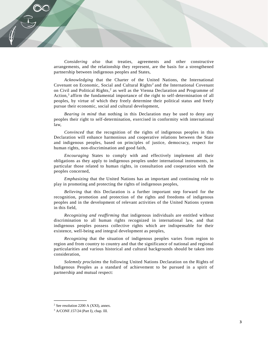*Considering also* that treaties, agreements and other constructive arrangements, and the relationship they represent, are the basis for a strengthened partnership between indigenous peoples and States,

*Acknowledging* that the Charter of the United Nations, the International Covenant on Economic, Social and Cultural Rights<sup>2</sup> and the International Covenant on Civil and Political Rights, 2 as well as the Vienna Declaration and Programme of Action,<sup>3</sup> affirm the fundamental importance of the right to self-determination of all peoples, by virtue of which they freely determine their political status and freely pursue their economic, social and cultural development,

*Bearing in mind* that nothing in this Declaration may be used to deny any peoples their right to self-determination, exercised in conformity with international law,

*Convinced* that the recognition of the rights of indigenous peoples in this Declaration will enhance harmonious and cooperative relations between the State and indigenous peoples, based on principles of justice, democracy, respect for human rights, non-discrimination and good faith,

*Encouraging* States to comply with and effectively implement all their obligations as they apply to indigenous peoples under international instruments, in particular those related to human rights, in consultation and cooperation with the peoples concerned,

*Emphasizing* that the United Nations has an important and continuing role to play in promoting and protecting the rights of indigenous peoples,

*Believing* that this Declaration is a further important step forward for the recognition, promotion and protection of the rights and freedoms of indigenous peoples and in the development of relevant activities of the United Nations system in this field,

*Recognizing and reaffirming* that indigenous individuals are entitled without discrimination to all human rights recognized in international law, and that indigenous peoples possess collective rights which are indispensable for their existence, well-being and integral development as peoples,

*Recognizing* that the situation of indigenous peoples varies from region to region and from country to country and that the significance of national and regional particularities and various historical and cultural backgrounds should be taken into consideration,

*Solemnly proclaims* the following United Nations Declaration on the Rights of Indigenous Peoples as a standard of achievement to be pursued in a spirit of partnership and mutual respect:

**\_\_\_\_\_\_\_\_\_\_\_\_\_\_\_**

 $\int$ 

<sup>2</sup> See resolution 2200 A (XXI), annex.

<sup>3</sup> A/CONF.157/24 (Part I), chap. III.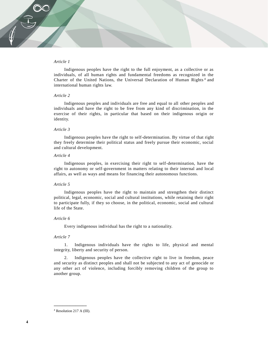P

Indigenous peoples have the right to the full enjoyment, as a collective or as individuals, of all human rights and fundamental freedoms as recognized in the Charter of the United Nations, the Universal Declaration of Human Rights<sup>4</sup> and international human rights law.

#### *Article 2*

Indigenous peoples and individuals are free and equal to all other peoples and individuals and have the right to be free from any kind of discrimination, in the exercise of their rights, in particular that based on their indigenous origin or identity.

#### *Article 3*

Indigenous peoples have the right to self-determination. By virtue of that right they freely determine their political status and freely pursue their economic, social and cultural development.

#### *Article 4*

Indigenous peoples, in exercising their right to self-determination, have the right to autonomy or self-government in matters relating to their internal and local affairs, as well as ways and means for financing their autonomous functions.

#### *Article 5*

Indigenous peoples have the right to maintain and strengthen their distinct political, legal, economic, social and cultural institutions, while retaining their right to participate fully, if they so choose, in the political, economic, social and cultural life of the State.

#### *Article 6*

Every indigenous individual has the right to a nationality.

#### *Article 7*

1. Indigenous individuals have the rights to life, physical and mental integrity, liberty and security of person.

2. Indigenous peoples have the collective right to live in freedom, peace and security as distinct peoples and shall not be subjected to any act of genocide or any other act of violence, including forcibly removing children of the group to another group.

**\_\_\_\_\_\_\_\_\_\_\_\_\_\_\_** <sup>4</sup> Resolution 217 A (III).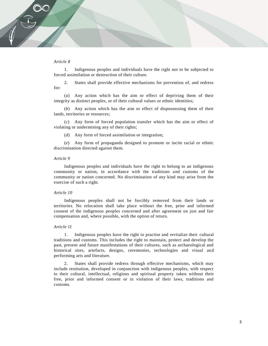3

1. Indigenous peoples and individuals have the right not to be subjected to forced assimilation or destruction of their culture.

2. States shall provide effective mechanisms for prevention of, and redress for:

(*a*) Any action which has the aim or effect of depriving them of their integrity as distinct peoples, or of their cultural values or ethnic identities;

(*b*) Any action which has the aim or effect of dispossessing them of their lands, territories or resources;

(*c*) Any form of forced population transfer which has the aim or effect of violating or undermining any of their rights;

(*d*) Any form of forced assimilation or integration;

(*e*) Any form of propaganda designed to promote or incite racial or ethnic discrimination directed against them.

#### *Article 9*

Indigenous peoples and individuals have the right to belong to an indigenous community or nation, in accordance with the traditions and customs of the community or nation concerned. No discrimination of any kind may arise from the exercise of such a right.

#### *Article 10*

Indigenous peoples shall not be forcibly removed from their lands or territories. No relocation shall take place without the free, prior and informed consent of the indigenous peoples concerned and after agreement on just and fair compensation and, where possible, with the option of return.

#### *Article 11*

1. Indigenous peoples have the right to practise and revitalize their cultural traditions and customs. This includes the right to maintain, protect and develop the past, present and future manifestations of their cultures, such as archaeological and historical sites, artefacts, designs, ceremonies, technologies and visual and performing arts and literature.

2. States shall provide redress through effective mechanisms, which may include restitution, developed in conjunction with indigenous peoples, with respect to their cultural, intellectual, religious and spiritual property taken without their free, prior and informed consent or in violation of their laws, traditions and customs.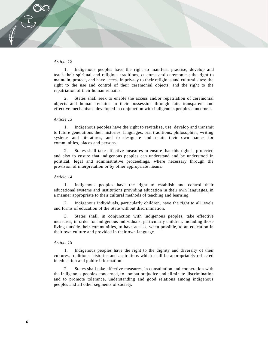$\begin{picture}(120,10) \put(0,0){\line(1,0){155}} \put(15,0){\line(1,0){155}} \put(15,0){\line(1,0){155}} \put(15,0){\line(1,0){155}} \put(15,0){\line(1,0){155}} \put(15,0){\line(1,0){155}} \put(15,0){\line(1,0){155}} \put(15,0){\line(1,0){155}} \put(15,0){\line(1,0){155}} \put(15,0){\line(1,0){155}} \put(15,0){\line(1,0){155}}$ 

1. Indigenous peoples have the right to manifest, practise, develop and teach their spiritual and religious traditions, customs and ceremonies; the right to maintain, protect, and have access in privacy to their religious and cultural sites; the right to the use and control of their ceremonial objects; and the right to the repatriation of their human remains.

2. States shall seek to enable the access and/or repatriation of ceremonial objects and human remains in their possession through fair, transparent and effective mechanisms developed in conjunction with indigenous peoples concerned.

#### *Article 13*

1. Indigenous peoples have the right to revitalize, use, develop and transmit to future generations their histories, languages, oral traditions, philosophies, writing systems and literatures, and to designate and retain their own names for communities, places and persons.

2. States shall take effective measures to ensure that this right is protected and also to ensure that indigenous peoples can understand and be understood in political, legal and administrative proceedings, where necessary through the provision of interpretation or by other appropriate means.

#### *Article 14*

1. Indigenous peoples have the right to establish and control their educational systems and institutions providing education in their own languages, in a manner appropriate to their cultural methods of teaching and learning.

2. Indigenous individuals, particularly children, have the right to all levels and forms of education of the State without discrimination.

3. States shall, in conjunction with indigenous peoples, take effective measures, in order for indigenous individuals, particularly children, including those living outside their communities, to have access, when possible, to an education in their own culture and provided in their own language.

#### *Article 15*

1. Indigenous peoples have the right to the dignity and diversity of their cultures, traditions, histories and aspirations which shall be appropriately reflected in education and public information.

2. States shall take effective measures, in consultation and cooperation with the indigenous peoples concerned, to combat prejudice and eliminate discrimination and to promote tolerance, understanding and good relations among indigenous peoples and all other segments of society.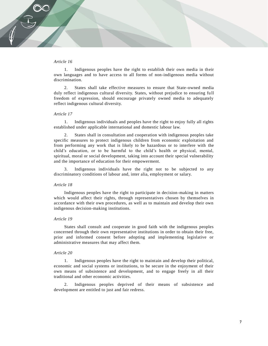E R

1. Indigenous peoples have the right to establish their own media in their own languages and to have access to all forms of non-indigenous media without discrimination.

2. States shall take effective measures to ensure that State-owned media duly reflect indigenous cultural diversity. States, without prejudice to ensuring full freedom of expression, should encourage privately owned media to adequately reflect indigenous cultural diversity.

#### *Article 17*

1. Indigenous individuals and peoples have the right to enjoy fully all rights established under applicable international and domestic labour law.

2. States shall in consultation and cooperation with indigenous peoples take specific measures to protect indigenous children from economic exploitation and from performing any work that is likely to be hazardous or to interfere with the child's education, or to be harmful to the child's health or physical, mental, spiritual, moral or social development, taking into account their special vulnerability and the importance of education for their empowerment.

3. Indigenous individuals have the right not to be subjected to any discriminatory conditions of labour and, inter alia, employment or salary.

#### *Article 18*

Indigenous peoples have the right to participate in decision-making in matters which would affect their rights, through representatives chosen by themselves in accordance with their own procedures, as well as to maintain and develop their own indigenous decision-making institutions.

#### *Article 19*

States shall consult and cooperate in good faith with the indigenous peoples concerned through their own representative institutions in order to obtain their free, prior and informed consent before adopting and implementing legislative or administrative measures that may affect them.

#### *Article 20*

1. Indigenous peoples have the right to maintain and develop their political, economic and social systems or institutions, to be secure in the enjoyment of their own means of subsistence and development, and to engage freely in all their traditional and other economic activities.

2. Indigenous peoples deprived of their means of subsistence and development are entitled to just and fair redress.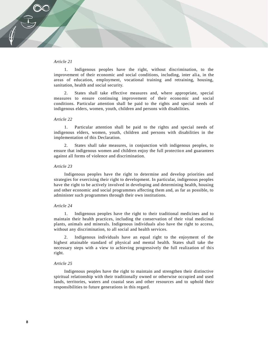1. Indigenous peoples have the right, without discrimination, to the improvement of their economic and social conditions, including, inter alia, in the areas of education, employment, vocational training and retraining, housing, sanitation, health and social security.

2. States shall take effective measures and, where appropriate, special measures to ensure continuing improvement of their economic and social conditions. Particular attention shall be paid to the rights and special needs of indigenous elders, women, youth, children and persons with disabilities.

#### *Article 22*

1. Particular attention shall be paid to the rights and special needs of indigenous elders, women, youth, children and persons with disabilities in the implementation of this Declaration.

States shall take measures, in conjunction with indigenous peoples, to ensure that indigenous women and children enjoy the full protection and guarantees against all forms of violence and discrimination.

#### *Article 23*

Indigenous peoples have the right to determine and develop priorities and strategies for exercising their right to development. In particular, indigenous peoples have the right to be actively involved in developing and determining health, housing and other economic and social programmes affecting them and, as far as possible, to administer such programmes through their own institutions.

#### *Article 24*

1. Indigenous peoples have the right to their traditional medicines and to maintain their health practices, including the conservation of their vital medicinal plants, animals and minerals. Indigenous individuals also have the right to access, without any discrimination, to all social and health services.

2. Indigenous individuals have an equal right to the enjoyment of the highest attainable standard of physical and mental health. States shall take the necessary steps with a view to achieving progressively the full realization of this right.

#### *Article 25*

Indigenous peoples have the right to maintain and strengthen their distinctive spiritual relationship with their traditionally owned or otherwise occupied and used lands, territories, waters and coastal seas and other resources and to uphold their responsibilities to future generations in this regard.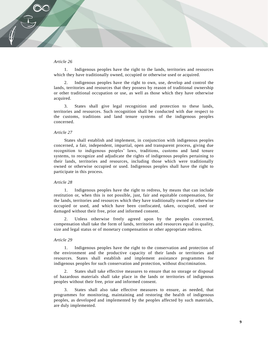$\begin{picture}(120,10) \put(0,0){\line(1,0){155}} \put(15,0){\line(1,0){155}} \put(15,0){\line(1,0){155}} \put(15,0){\line(1,0){155}} \put(15,0){\line(1,0){155}} \put(15,0){\line(1,0){155}} \put(15,0){\line(1,0){155}} \put(15,0){\line(1,0){155}} \put(15,0){\line(1,0){155}} \put(15,0){\line(1,0){155}} \put(15,0){\line(1,0){155}}$ 

1. Indigenous peoples have the right to the lands, territories and resources which they have traditionally owned, occupied or otherwise used or acquired.

2. Indigenous peoples have the right to own, use, develop and control the lands, territories and resources that they possess by reason of traditional ownership or other traditional occupation or use, as well as those which they have otherwise acquired.

3. States shall give legal recognition and protection to these lands, territories and resources. Such recognition shall be conducted with due respect to the customs, traditions and land tenure systems of the indigenous peoples concerned.

#### *Article 27*

States shall establish and implement, in conjunction with indigenous peoples concerned, a fair, independent, impartial, open and transparent process, giving due recognition to indigenous peoples' laws, traditions, customs and land tenure systems, to recognize and adjudicate the rights of indigenous peoples pertaining to their lands, territories and resources, including those which were traditionally owned or otherwise occupied or used. Indigenous peoples shall have the right to participate in this process.

#### *Article 28*

1. Indigenous peoples have the right to redress, by means that can include restitution or, when this is not possible, just, fair and equitable compensation, for the lands, territories and resources which they have traditionally owned or otherwise occupied or used, and which have been confiscated, taken, occupied, used or damaged without their free, prior and informed consent.

2. Unless otherwise freely agreed upon by the peoples concerned, compensation shall take the form of lands, territories and resources equal in quality, size and legal status or of monetary compensation or other appropriate redress.

#### *Article 29*

1. Indigenous peoples have the right to the conservation and protection of the environment and the productive capacity of their lands or territories and resources. States shall establish and implement assistance programmes for indigenous peoples for such conservation and protection, without discrimination.

2. States shall take effective measures to ensure that no storage or disposal of hazardous materials shall take place in the lands or territories of indigenous peoples without their free, prior and informed consent.

3. States shall also take effective measures to ensure, as needed, that programmes for monitoring, maintaining and restoring the health of indigenous peoples, as developed and implemented by the peoples affected by such materials, are duly implemented.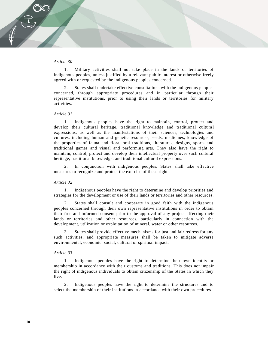$\int$ 

1. Military activities shall not take place in the lands or territories of indigenous peoples, unless justified by a relevant public interest or otherwise freely agreed with or requested by the indigenous peoples concerned.

2. States shall undertake effective consultations with the indigenous peoples concerned, through appropriate procedures and in particular through their representative institutions, prior to using their lands or territories for military activities.

#### *Article 31*

1. Indigenous peoples have the right to maintain, control, protect and develop their cultural heritage, traditional knowledge and traditional cultural expressions, as well as the manifestations of their sciences, technologies and cultures, including human and genetic resources, seeds, medicines, knowledge of the properties of fauna and flora, oral traditions, literatures, designs, sports and traditional games and visual and performing arts. They also have the right to maintain, control, protect and develop their intellectual property over such cultural heritage, traditional knowledge, and traditional cultural expressions.

2. In conjunction with indigenous peoples, States shall take effective measures to recognize and protect the exercise of these rights.

#### *Article 32*

1. Indigenous peoples have the right to determine and develop priorities and strategies for the development or use of their lands or territories and other resources.

2. States shall consult and cooperate in good faith with the indigenous peoples concerned through their own representative institutions in order to obtain their free and informed consent prior to the approval of any project affecting their lands or territories and other resources, particularly in connection with the development, utilization or exploitation of mineral, water or other resources.

3. States shall provide effective mechanisms for just and fair redress for any such activities, and appropriate measures shall be taken to mitigate adverse environmental, economic, social, cultural or spiritual impact.

#### *Article 33*

1. Indigenous peoples have the right to determine their own identity or membership in accordance with their customs and traditions. This does not impair the right of indigenous individuals to obtain citizenship of the States in which they live.

2. Indigenous peoples have the right to determine the structures and to select the membership of their institutions in accordance with their own procedures.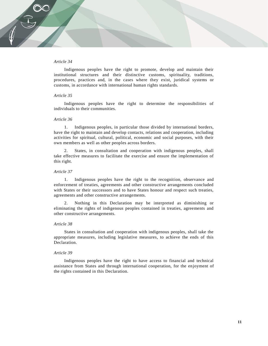3

Indigenous peoples have the right to promote, develop and maintain their institutional structures and their distinctive customs, spirituality, traditions, procedures, practices and, in the cases where they exist, juridical systems or customs, in accordance with international human rights standards.

#### *Article 35*

Indigenous peoples have the right to determine the responsibilities of individuals to their communities.

#### *Article 36*

1. Indigenous peoples, in particular those divided by international borders, have the right to maintain and develop contacts, relations and cooperation, including activities for spiritual, cultural, political, economic and social purposes, with their own members as well as other peoples across borders.

2. States, in consultation and cooperation with indigenous peoples, shall take effective measures to facilitate the exercise and ensure the implementation of this right.

#### *Article 37*

1. Indigenous peoples have the right to the recognition, observance and enforcement of treaties, agreements and other constructive arrangements concluded with States or their successors and to have States honour and respect such treaties, agreements and other constructive arrangements.

2. Nothing in this Declaration may be interpreted as diminishing or eliminating the rights of indigenous peoples contained in treaties, agreements and other constructive arrangements.

#### *Article 38*

States in consultation and cooperation with indigenous peoples, shall take the appropriate measures, including legislative measures, to achieve the ends of this Declaration.

#### *Article 39*

Indigenous peoples have the right to have access to financial and technical assistance from States and through international cooperation, for the enjoyment of the rights contained in this Declaration.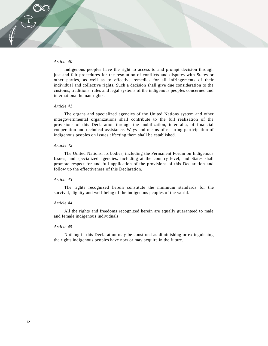R B C

Indigenous peoples have the right to access to and prompt decision through just and fair procedures for the resolution of conflicts and disputes with States or other parties, as well as to effective remedies for all infringements of their individual and collective rights. Such a decision shall give due consideration to the customs, traditions, rules and legal systems of the indigenous peoples concerned and international human rights.

#### *Article 41*

The organs and specialized agencies of the United Nations system and other intergovernmental organizations shall contribute to the full realization of the provisions of this Declaration through the mobilization, inter alia, of financial cooperation and technical assistance. Ways and means of ensuring participation of indigenous peoples on issues affecting them shall be established.

#### *Article 42*

The United Nations, its bodies, including the Permanent Forum on Indigenous Issues, and specialized agencies, including at the country level, and States shall promote respect for and full application of the provisions of this Declaration and follow up the effectiveness of this Declaration.

#### *Article 43*

The rights recognized herein constitute the minimum standards for the survival, dignity and well-being of the indigenous peoples of the world.

#### *Article 44*

All the rights and freedoms recognized herein are equally guaranteed to male and female indigenous individuals.

#### *Article 45*

Nothing in this Declaration may be construed as diminishing or extinguishing the rights indigenous peoples have now or may acquire in the future.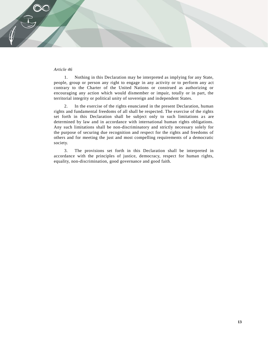3

1. Nothing in this Declaration may be interpreted as implying for any State, people, group or person any right to engage in any activity or to perform any act contrary to the Charter of the United Nations or construed as authorizing or encouraging any action which would dismember or impair, totally or in part, the territorial integrity or political unity of sovereign and independent States.

2. In the exercise of the rights enunciated in the present Declaration, human rights and fundamental freedoms of all shall be respected. The exercise of the rights set forth in this Declaration shall be subject only to such limitations as are determined by law and in accordance with international human rights obligations. Any such limitations shall be non-discriminatory and strictly necessary solely for the purpose of securing due recognition and respect for the rights and freedoms of others and for meeting the just and most compelling requirements of a democratic society.

3. The provisions set forth in this Declaration shall be interpreted in accordance with the principles of justice, democracy, respect for human rights, equality, non-discrimination, good governance and good faith.